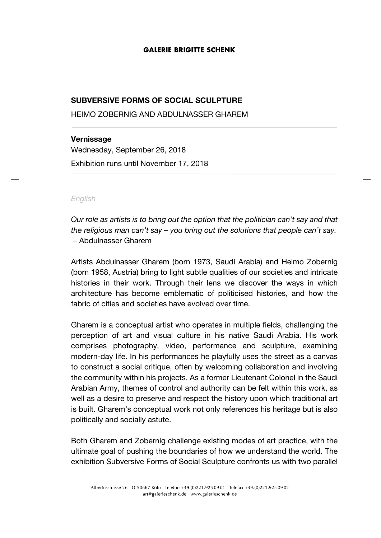#### **GALERIE BRIGITTE SCHENK**

# **SUBVERSIVE FORMS OF SOCIAL SCULPTURE**

HEIMO ZOBERNIG AND ABDULNASSER GHAREM

# **Vernissage**

Wednesday, September 26, 2018 Exhibition runs until November 17, 2018

### *English*

*Our role as artists is to bring out the option that the politician can't say and that the religious man can't say – you bring out the solutions that people can't say.* – Abdulnasser Gharem

Artists Abdulnasser Gharem (born 1973, Saudi Arabia) and Heimo Zobernig (born 1958, Austria) bring to light subtle qualities of our societies and intricate histories in their work. Through their lens we discover the ways in which architecture has become emblematic of politicised histories, and how the fabric of cities and societies have evolved over time.

Gharem is a conceptual artist who operates in multiple fields, challenging the perception of art and visual culture in his native Saudi Arabia. His work comprises photography, video, performance and sculpture, examining modern-day life. In his performances he playfully uses the street as a canvas to construct a social critique, often by welcoming collaboration and involving the community within his projects. As a former Lieutenant Colonel in the Saudi Arabian Army, themes of control and authority can be felt within this work, as well as a desire to preserve and respect the history upon which traditional art is built. Gharem's conceptual work not only references his heritage but is also politically and socially astute.

Both Gharem and Zobernig challenge existing modes of art practice, with the ultimate goal of pushing the boundaries of how we understand the world. The exhibition Subversive Forms of Social Sculpture confronts us with two parallel